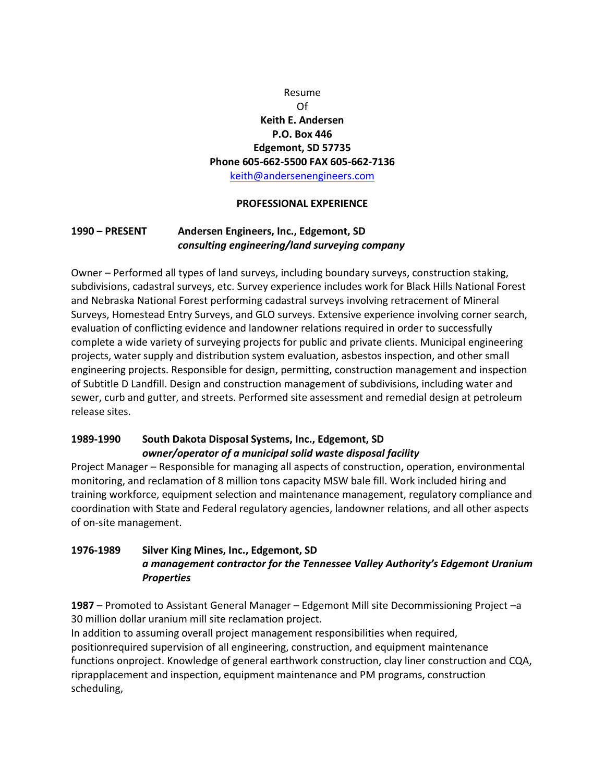# Resume Of **Keith E. Andersen P.O. Box 446 Edgemont, SD 57735 Phone 605-662-5500 FAX 605-662-7136** [keith@andersenengineers.com](mailto:keith@andersenengineers.com)

### **PROFESSIONAL EXPERIENCE**

## **1990 – PRESENT Andersen Engineers, Inc., Edgemont, SD**  *consulting engineering/land surveying company*

Owner – Performed all types of land surveys, including boundary surveys, construction staking, subdivisions, cadastral surveys, etc. Survey experience includes work for Black Hills National Forest and Nebraska National Forest performing cadastral surveys involving retracement of Mineral Surveys, Homestead Entry Surveys, and GLO surveys. Extensive experience involving corner search, evaluation of conflicting evidence and landowner relations required in order to successfully complete a wide variety of surveying projects for public and private clients. Municipal engineering projects, water supply and distribution system evaluation, asbestos inspection, and other small engineering projects. Responsible for design, permitting, construction management and inspection of Subtitle D Landfill. Design and construction management of subdivisions, including water and sewer, curb and gutter, and streets. Performed site assessment and remedial design at petroleum release sites.

### **1989-1990 South Dakota Disposal Systems, Inc., Edgemont, SD**  *owner/operator of a municipal solid waste disposal facility*

Project Manager – Responsible for managing all aspects of construction, operation, environmental monitoring, and reclamation of 8 million tons capacity MSW bale fill. Work included hiring and training workforce, equipment selection and maintenance management, regulatory compliance and coordination with State and Federal regulatory agencies, landowner relations, and all other aspects of on-site management.

## **1976-1989 Silver King Mines, Inc., Edgemont, SD**  *a management contractor for the Tennessee Valley Authority's Edgemont Uranium Properties*

**1987** – Promoted to Assistant General Manager – Edgemont Mill site Decommissioning Project –a 30 million dollar uranium mill site reclamation project.

In addition to assuming overall project management responsibilities when required, positionrequired supervision of all engineering, construction, and equipment maintenance functions onproject. Knowledge of general earthwork construction, clay liner construction and CQA, riprapplacement and inspection, equipment maintenance and PM programs, construction scheduling,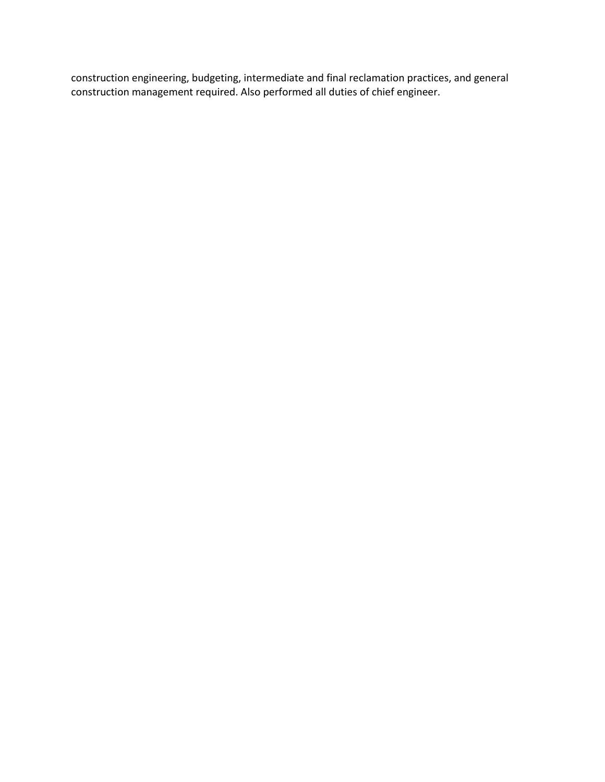construction engineering, budgeting, intermediate and final reclamation practices, and general construction management required. Also performed all duties of chief engineer.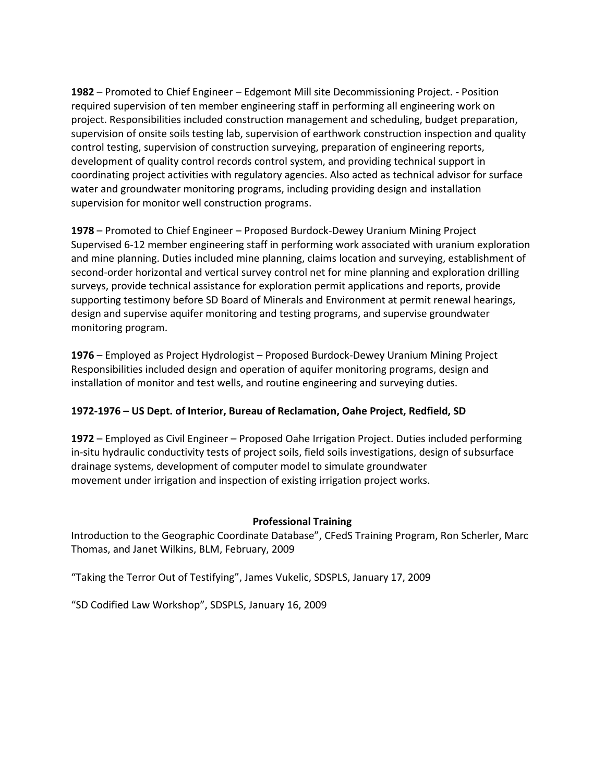**1982** – Promoted to Chief Engineer – Edgemont Mill site Decommissioning Project. - Position required supervision of ten member engineering staff in performing all engineering work on project. Responsibilities included construction management and scheduling, budget preparation, supervision of onsite soils testing lab, supervision of earthwork construction inspection and quality control testing, supervision of construction surveying, preparation of engineering reports, development of quality control records control system, and providing technical support in coordinating project activities with regulatory agencies. Also acted as technical advisor for surface water and groundwater monitoring programs, including providing design and installation supervision for monitor well construction programs.

**1978** – Promoted to Chief Engineer – Proposed Burdock-Dewey Uranium Mining Project Supervised 6-12 member engineering staff in performing work associated with uranium exploration and mine planning. Duties included mine planning, claims location and surveying, establishment of second-order horizontal and vertical survey control net for mine planning and exploration drilling surveys, provide technical assistance for exploration permit applications and reports, provide supporting testimony before SD Board of Minerals and Environment at permit renewal hearings, design and supervise aquifer monitoring and testing programs, and supervise groundwater monitoring program.

**1976** – Employed as Project Hydrologist – Proposed Burdock-Dewey Uranium Mining Project Responsibilities included design and operation of aquifer monitoring programs, design and installation of monitor and test wells, and routine engineering and surveying duties.

## **1972-1976 – US Dept. of Interior, Bureau of Reclamation, Oahe Project, Redfield, SD**

**1972** – Employed as Civil Engineer – Proposed Oahe Irrigation Project. Duties included performing in-situ hydraulic conductivity tests of project soils, field soils investigations, design of subsurface drainage systems, development of computer model to simulate groundwater movement under irrigation and inspection of existing irrigation project works.

#### **Professional Training**

Introduction to the Geographic Coordinate Database", CFedS Training Program, Ron Scherler, Marc Thomas, and Janet Wilkins, BLM, February, 2009

"Taking the Terror Out of Testifying", James Vukelic, SDSPLS, January 17, 2009

"SD Codified Law Workshop", SDSPLS, January 16, 2009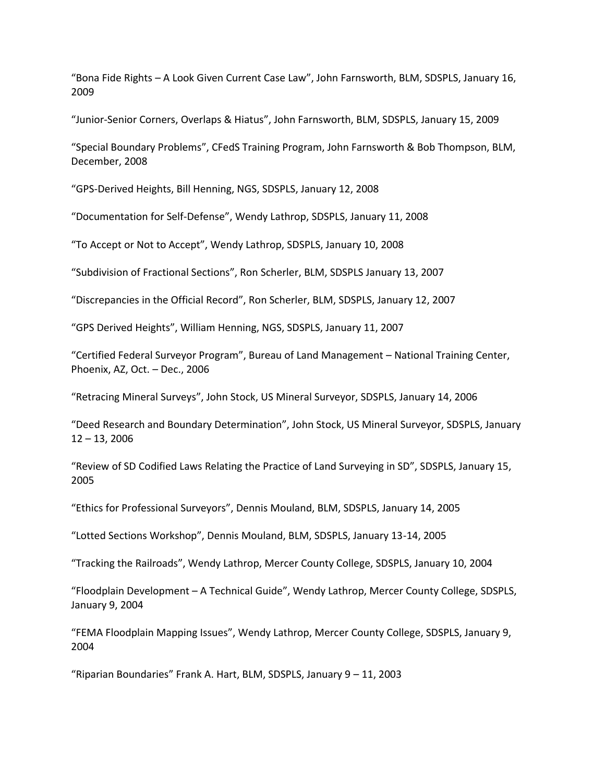"Bona Fide Rights – A Look Given Current Case Law", John Farnsworth, BLM, SDSPLS, January 16, 2009

"Junior-Senior Corners, Overlaps & Hiatus", John Farnsworth, BLM, SDSPLS, January 15, 2009

"Special Boundary Problems", CFedS Training Program, John Farnsworth & Bob Thompson, BLM, December, 2008

"GPS-Derived Heights, Bill Henning, NGS, SDSPLS, January 12, 2008

"Documentation for Self-Defense", Wendy Lathrop, SDSPLS, January 11, 2008

"To Accept or Not to Accept", Wendy Lathrop, SDSPLS, January 10, 2008

"Subdivision of Fractional Sections", Ron Scherler, BLM, SDSPLS January 13, 2007

"Discrepancies in the Official Record", Ron Scherler, BLM, SDSPLS, January 12, 2007

"GPS Derived Heights", William Henning, NGS, SDSPLS, January 11, 2007

"Certified Federal Surveyor Program", Bureau of Land Management – National Training Center, Phoenix, AZ, Oct. – Dec., 2006

"Retracing Mineral Surveys", John Stock, US Mineral Surveyor, SDSPLS, January 14, 2006

"Deed Research and Boundary Determination", John Stock, US Mineral Surveyor, SDSPLS, January 12 – 13, 2006

"Review of SD Codified Laws Relating the Practice of Land Surveying in SD", SDSPLS, January 15, 2005

"Ethics for Professional Surveyors", Dennis Mouland, BLM, SDSPLS, January 14, 2005

"Lotted Sections Workshop", Dennis Mouland, BLM, SDSPLS, January 13-14, 2005

"Tracking the Railroads", Wendy Lathrop, Mercer County College, SDSPLS, January 10, 2004

"Floodplain Development – A Technical Guide", Wendy Lathrop, Mercer County College, SDSPLS, January 9, 2004

"FEMA Floodplain Mapping Issues", Wendy Lathrop, Mercer County College, SDSPLS, January 9, 2004

"Riparian Boundaries" Frank A. Hart, BLM, SDSPLS, January 9 – 11, 2003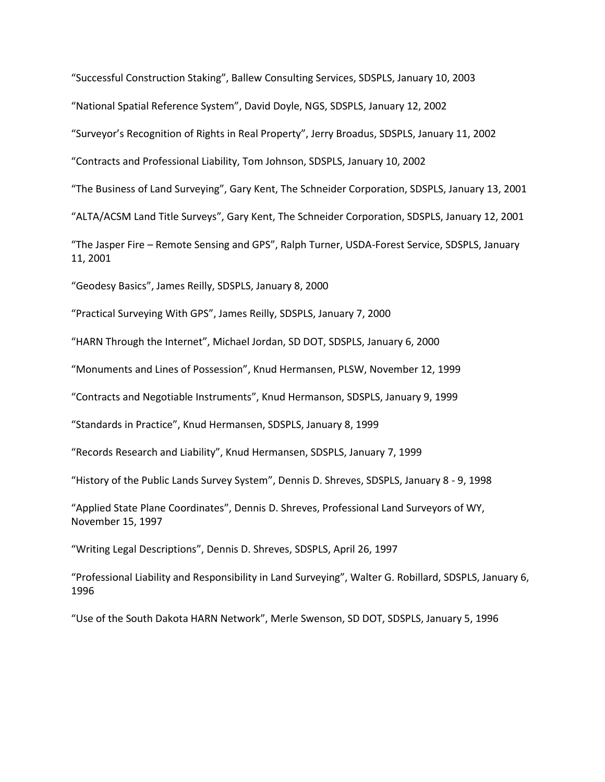"Successful Construction Staking", Ballew Consulting Services, SDSPLS, January 10, 2003

"National Spatial Reference System", David Doyle, NGS, SDSPLS, January 12, 2002

"Surveyor's Recognition of Rights in Real Property", Jerry Broadus, SDSPLS, January 11, 2002

"Contracts and Professional Liability, Tom Johnson, SDSPLS, January 10, 2002

"The Business of Land Surveying", Gary Kent, The Schneider Corporation, SDSPLS, January 13, 2001

"ALTA/ACSM Land Title Surveys", Gary Kent, The Schneider Corporation, SDSPLS, January 12, 2001

"The Jasper Fire – Remote Sensing and GPS", Ralph Turner, USDA-Forest Service, SDSPLS, January 11, 2001

"Geodesy Basics", James Reilly, SDSPLS, January 8, 2000

"Practical Surveying With GPS", James Reilly, SDSPLS, January 7, 2000

"HARN Through the Internet", Michael Jordan, SD DOT, SDSPLS, January 6, 2000

"Monuments and Lines of Possession", Knud Hermansen, PLSW, November 12, 1999

"Contracts and Negotiable Instruments", Knud Hermanson, SDSPLS, January 9, 1999

"Standards in Practice", Knud Hermansen, SDSPLS, January 8, 1999

"Records Research and Liability", Knud Hermansen, SDSPLS, January 7, 1999

"History of the Public Lands Survey System", Dennis D. Shreves, SDSPLS, January 8 - 9, 1998

"Applied State Plane Coordinates", Dennis D. Shreves, Professional Land Surveyors of WY, November 15, 1997

"Writing Legal Descriptions", Dennis D. Shreves, SDSPLS, April 26, 1997

"Professional Liability and Responsibility in Land Surveying", Walter G. Robillard, SDSPLS, January 6, 1996

"Use of the South Dakota HARN Network", Merle Swenson, SD DOT, SDSPLS, January 5, 1996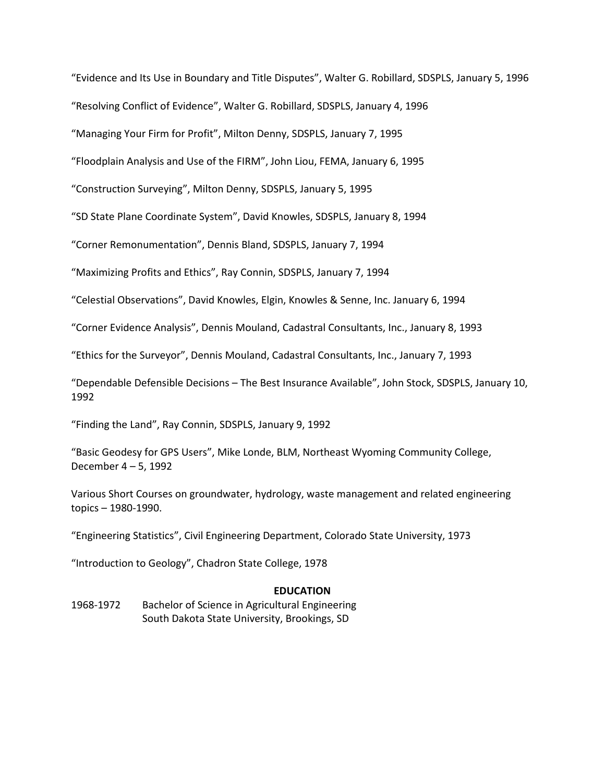"Evidence and Its Use in Boundary and Title Disputes", Walter G. Robillard, SDSPLS, January 5, 1996

"Resolving Conflict of Evidence", Walter G. Robillard, SDSPLS, January 4, 1996

"Managing Your Firm for Profit", Milton Denny, SDSPLS, January 7, 1995

"Floodplain Analysis and Use of the FIRM", John Liou, FEMA, January 6, 1995

"Construction Surveying", Milton Denny, SDSPLS, January 5, 1995

"SD State Plane Coordinate System", David Knowles, SDSPLS, January 8, 1994

"Corner Remonumentation", Dennis Bland, SDSPLS, January 7, 1994

"Maximizing Profits and Ethics", Ray Connin, SDSPLS, January 7, 1994

"Celestial Observations", David Knowles, Elgin, Knowles & Senne, Inc. January 6, 1994

"Corner Evidence Analysis", Dennis Mouland, Cadastral Consultants, Inc., January 8, 1993

"Ethics for the Surveyor", Dennis Mouland, Cadastral Consultants, Inc., January 7, 1993

"Dependable Defensible Decisions – The Best Insurance Available", John Stock, SDSPLS, January 10, 1992

"Finding the Land", Ray Connin, SDSPLS, January 9, 1992

"Basic Geodesy for GPS Users", Mike Londe, BLM, Northeast Wyoming Community College, December 4 – 5, 1992

Various Short Courses on groundwater, hydrology, waste management and related engineering topics – 1980-1990.

"Engineering Statistics", Civil Engineering Department, Colorado State University, 1973

"Introduction to Geology", Chadron State College, 1978

#### **EDUCATION**

1968-1972 Bachelor of Science in Agricultural Engineering South Dakota State University, Brookings, SD